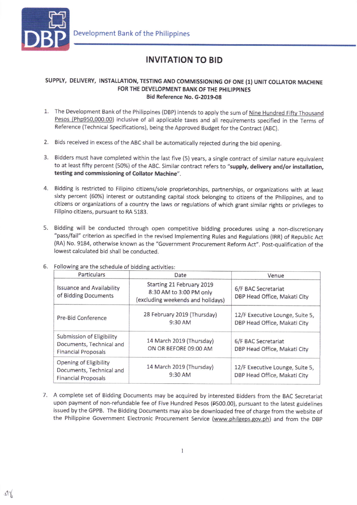

## INVITATION TO BID

## SUPPLY, DELIVERY, INSTALLATION, TESTING AND COMMISSIONING OF ONE (1) UNIT COLLATOR MACHINE FOR THE DEVELOPMENT BANK OF THE PHILIPPINES Bid Reference No. G-2019.08

- 1. The Development Bank of the Philippines (DBP) intends to apply the sum of Nine Hundred Fifty Thousand Pesos (Php950,000.00) inclusive of all applicable taxes and all requirements specified in the Terms of Reference (Technical Specifications), being the Approved Budget for the Contract (ABC).
- 2. Bids received in excess of the ABC shall be automatically rejected during the bid opening.
- 3. Bidders must have completed within the last five (5) years, a single contract of similar nature equivalent to at least fifty percent (50%) of the ABC. Similar contract refers to "supply, delivery and/or installation, testing and commissioning of Collator Machine".
- 4. Bidding is restricted to Filipino citizens/sole proprietorships, partnerships, or organizations with at least sixty percent (60%) interest or outstanding capital stock belonging to citizens of the Philippines, and to citizens or organizations of a country the laws or regulations of which grant similar rights or privileges to Filipino citizens, pursuant to RA 5183.
- 5. Bidding will be conducted through open competitive bidding procedures using a non-discretionary "passfail" criterion as specified in the revised lmplementing Rules and Regulations (lRR) of Republic Act (RA) No. 9184, otherwise known as the "Government Procurement Reform Act". Post-qualification of the lowest calculated bid shall be conducted.

| Particulars                                                                         | Date                                                                                      | Venue                                                           |
|-------------------------------------------------------------------------------------|-------------------------------------------------------------------------------------------|-----------------------------------------------------------------|
| <b>Issuance and Availability</b><br>of Bidding Documents                            | Starting 21 February 2019<br>8:30 AM to 3:00 PM only<br>(excluding weekends and holidays) | 6/F BAC Secretariat<br>DBP Head Office, Makati City             |
| Pre-Bid Conference                                                                  | 28 February 2019 (Thursday)<br>$9:30$ AM                                                  | 12/F Executive Lounge, Suite 5,<br>DBP Head Office, Makati City |
| Submission of Eligibility<br>Documents, Technical and<br><b>Financial Proposals</b> | 14 March 2019 (Thursday)<br>ON OR BEFORE 09:00 AM                                         | 6/F BAC Secretariat<br>DBP Head Office, Makati City             |
| Opening of Eligibility<br>Documents, Technical and<br><b>Financial Proposals</b>    | 14 March 2019 (Thursday)<br>9:30 AM                                                       | 12/F Executive Lounge, Suite 5,<br>DBP Head Office, Makati City |

6. Following are the schedule of bidding activities:

7. A complete set of Bidding Documents may be acquired by interested Bidders from the BAC Secretariat upon payment of non-refundable fee of Five Hundred Pesos (PsOO.OO), pursuant to the latest guidelines issued by the GPPB. The Bidding Documents may also be downloaded free of charge from the website of the Philippine Government Electronic Procurement Service (www.philgeps.gov.ph) and from the DBP